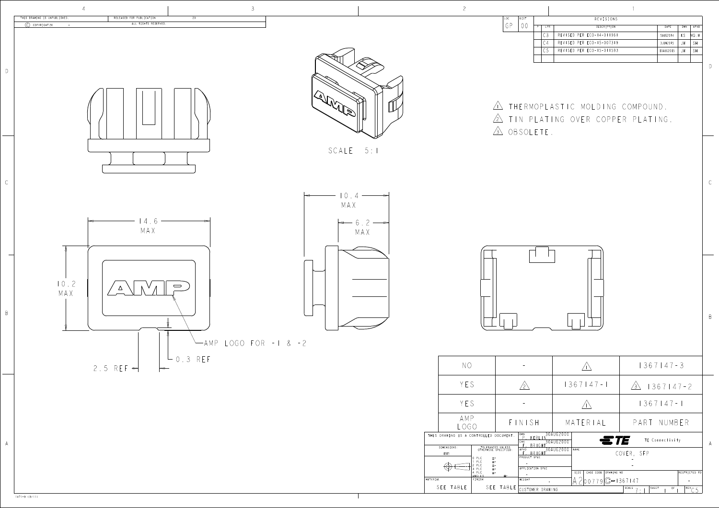B

| LOC. | DIST | REVISIONS |                |                           |           |     |           |  |  |
|------|------|-----------|----------------|---------------------------|-----------|-----|-----------|--|--|
| GP   |      | D         | LTR.           | DESCRIPTION               | DATE      | DWN | APVD      |  |  |
|      |      |           | C <sub>3</sub> | REVISED PER ECO-14-011961 | 5AUG2014  | ΚS  | MQ W      |  |  |
|      |      |           | C <sub>4</sub> | REVISED PER ECO-15-007319 | 3JUN2015  | JW. | <b>SH</b> |  |  |
|      |      |           | C <sub>5</sub> | REVISED PER ECO-15-011593 | 10AUG2015 | JW  | <b>SH</b> |  |  |
|      |      |           |                |                           |           |     |           |  |  |

<u>in</u> ihermoplastic molding comp 2 IIN PLATING OVER COPPER PL 3) UBSULET





| $\vdash$ 0.3 REF<br>$2.5$ REF $\Rightarrow$<br>$\leftarrow$ | $N$ $\circ$                                                                                     | $\sim$                                                                                                                                        | $\angle$ en                   | $1367147 - 3$                                                                                            |
|-------------------------------------------------------------|-------------------------------------------------------------------------------------------------|-----------------------------------------------------------------------------------------------------------------------------------------------|-------------------------------|----------------------------------------------------------------------------------------------------------|
|                                                             | YES                                                                                             | $/2\sqrt{2}$                                                                                                                                  | $1367147 - 1$                 | $\sqrt{3}$   367   47 - 2                                                                                |
|                                                             | YES                                                                                             | $\sim$                                                                                                                                        | $\bigwedge \bigwedge$         | $1367147 - 1$                                                                                            |
|                                                             | AMP<br>LOGO                                                                                     | FINISH                                                                                                                                        | MATERIAL                      | PART NUMBER                                                                                              |
|                                                             | THIS DRAWING IS A CONTROLLED DOCUMENT.<br>DIMENSIONS:                                           | DWN<br>P. KERLIN<br>30AUG2000,<br>30AUG2000                                                                                                   | ETE                           | TE Connectivity                                                                                          |
|                                                             | mm<br>0 PLC<br>1 PLC<br>2 PLC<br>3 PLC<br>4 PLC<br>4 ANGLES<br>$\textcircled{4} \longleftarrow$ | $\frac{F}{\frac{APVD}{F} \cdot BRIGHT}}$<br>TOLERANCES UNLESS<br>OTHERWISE SPECIFIED:<br>$30AUG2000$ NAME<br>PRODUCT SPEC<br>APPLICATION SPEC | SIZE   CAGE CODE   DRAWING NO | COVER, SFP<br>$\sim$<br>RESTRICTED TO                                                                    |
| MATERIAL                                                    | FINISH<br>SEE TABLE                                                                             | WEIGHT<br>SEE TABLE<br>CUSTOMER DRAWING                                                                                                       | $A200779C=1367147$            | $\alpha_{\rm{max}}=1$<br>SCALE $7 \cdot 1$ SHEET<br>$\left $ REV $\right $ $\Gamma$<br>$OF$ <sub>1</sub> |